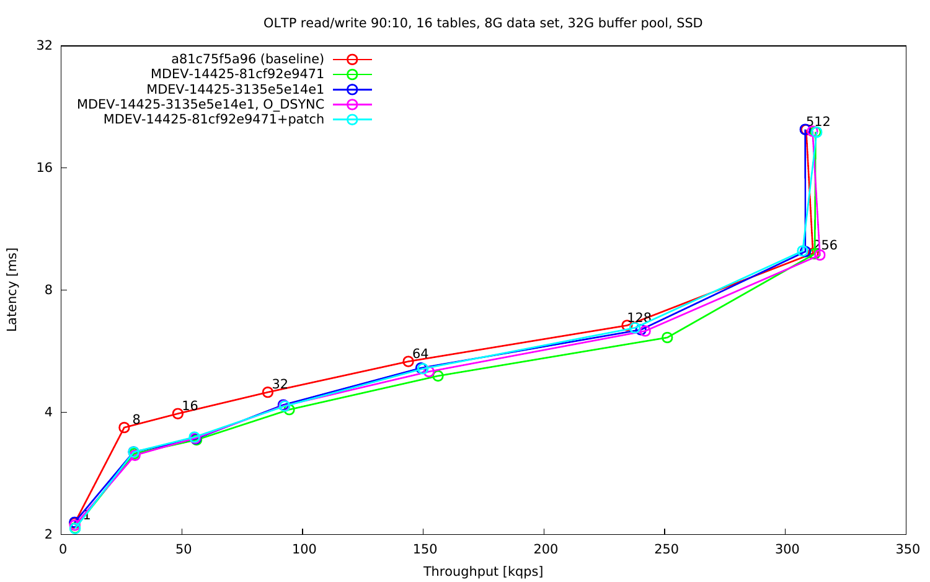OLTP read/write 90:10, 16 tables, 8G data set, 32G buffer pool, SSD



Latency [ms] Latency [ms]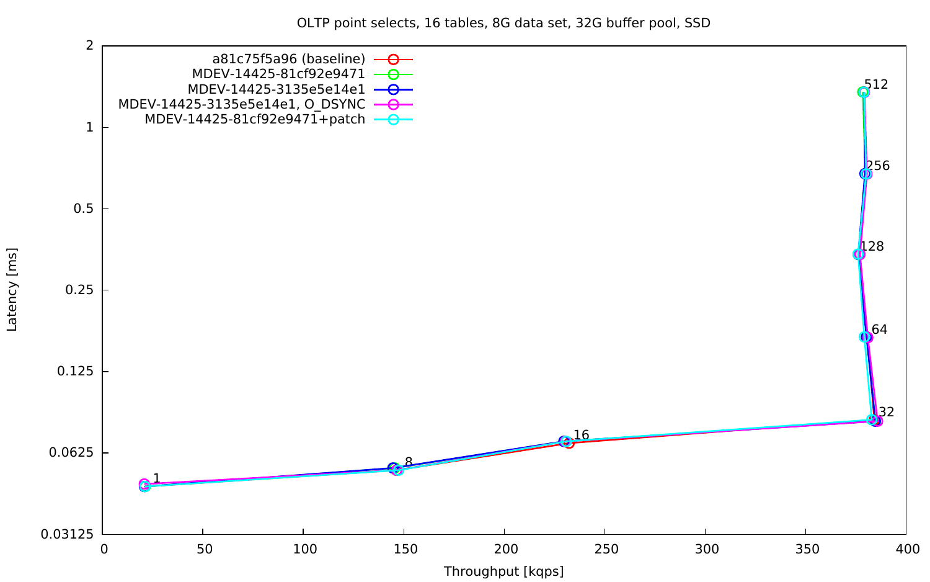OLTP point selects, 16 tables, 8G data set, 32G buffer pool, SSD

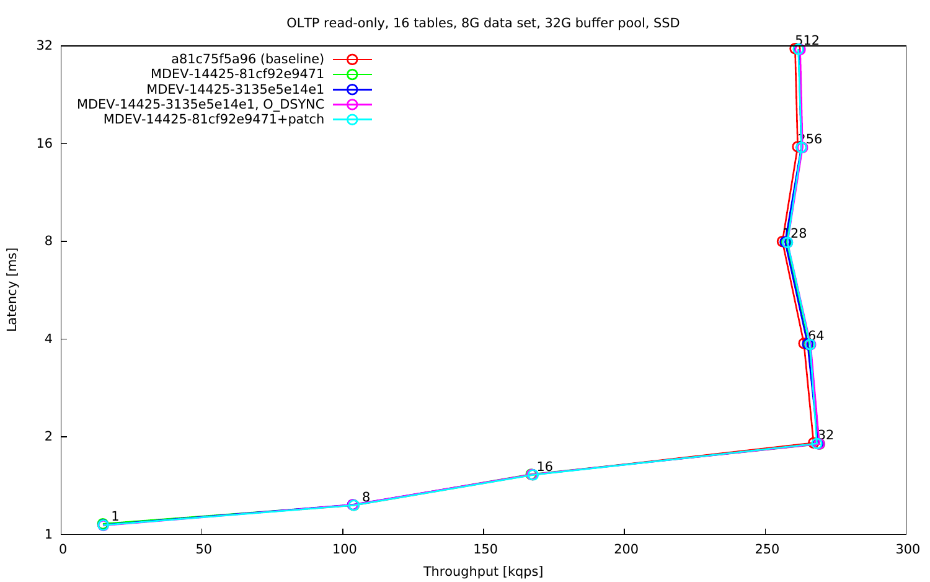OLTP read-only, 16 tables, 8G data set, 32G buffer pool, SSD



Latency [ms] Latency [ms]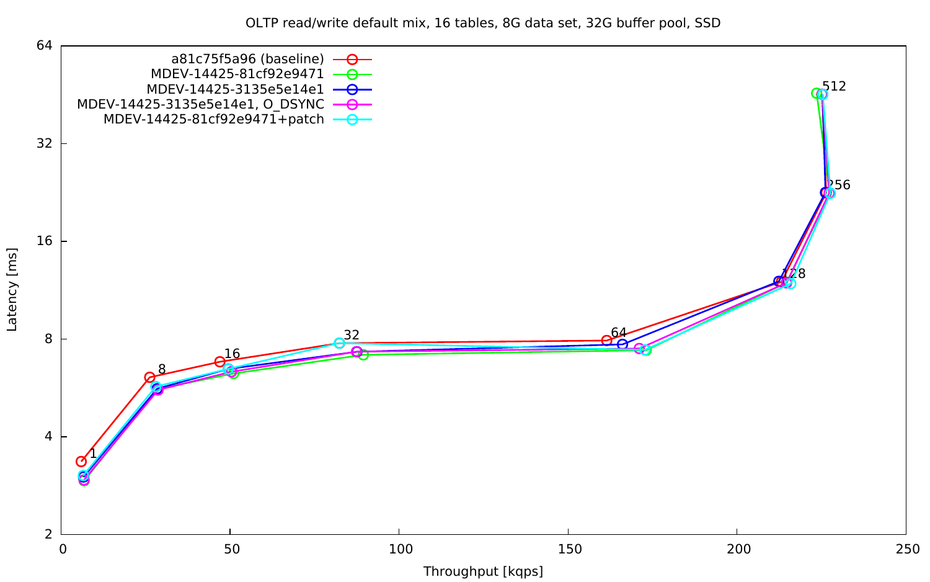OLTP read/write default mix, 16 tables, 8G data set, 32G buffer pool, SSD



Latency [ms] Latency [ms]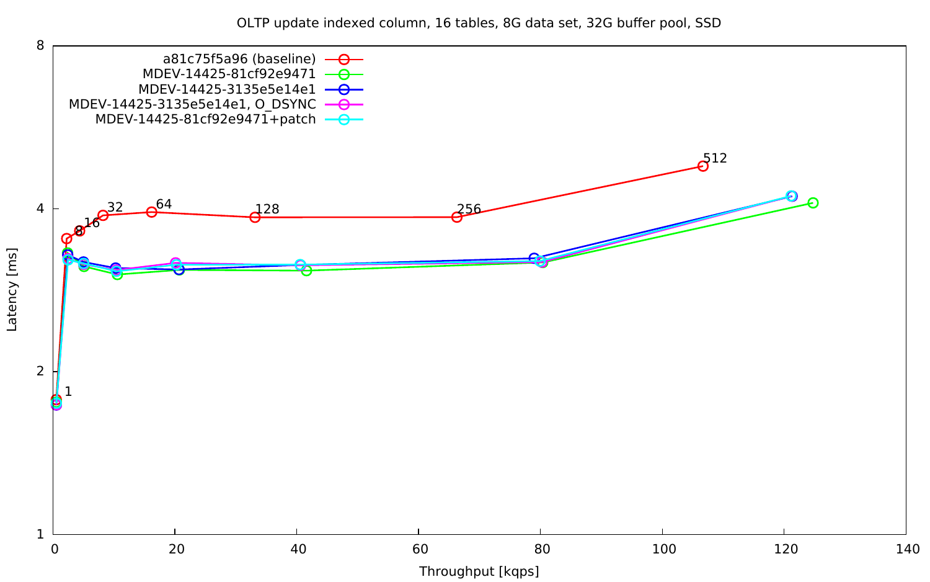OLTP update indexed column, 16 tables, 8G data set, 32G buffer pool, SSD

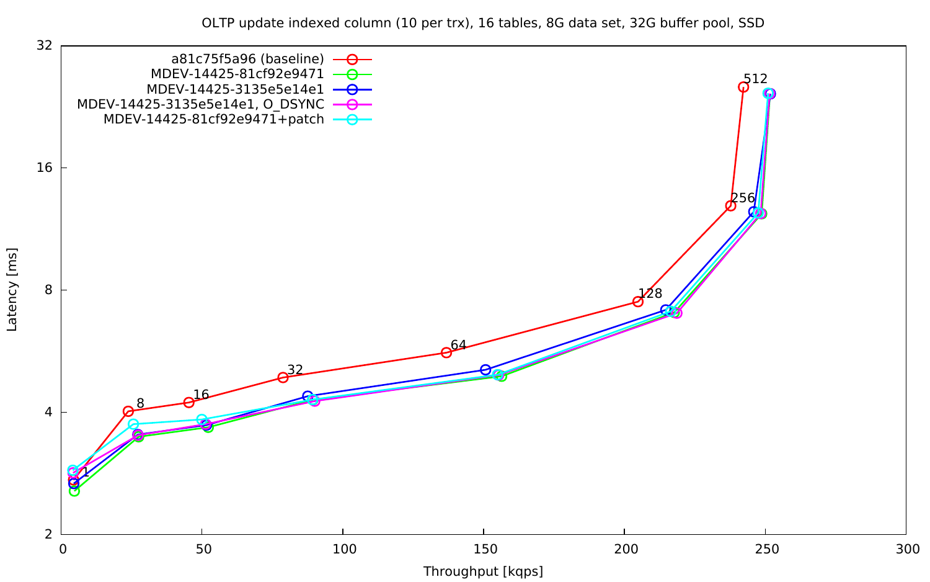OLTP update indexed column (10 per trx), 16 tables, 8G data set, 32G buffer pool, SSD

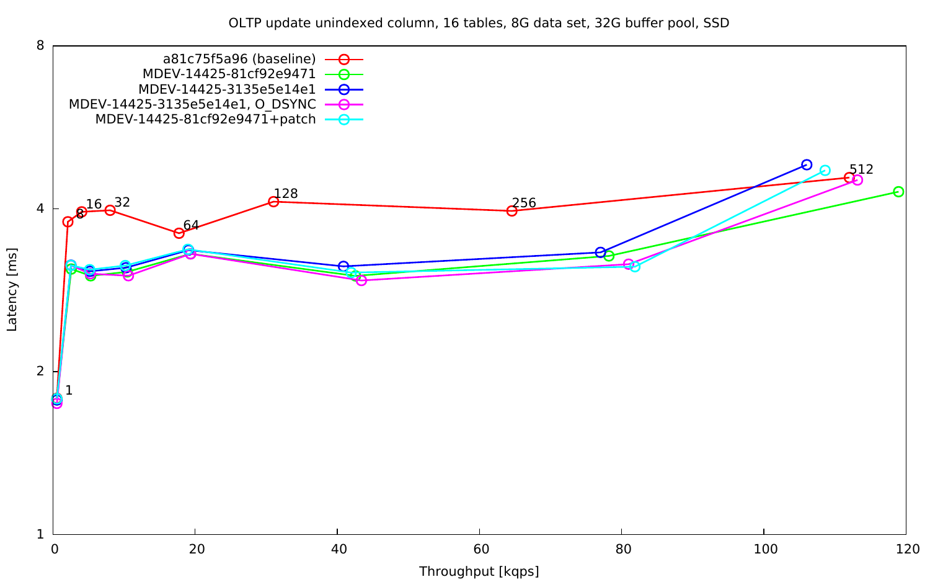OLTP update unindexed column, 16 tables, 8G data set, 32G buffer pool, SSD